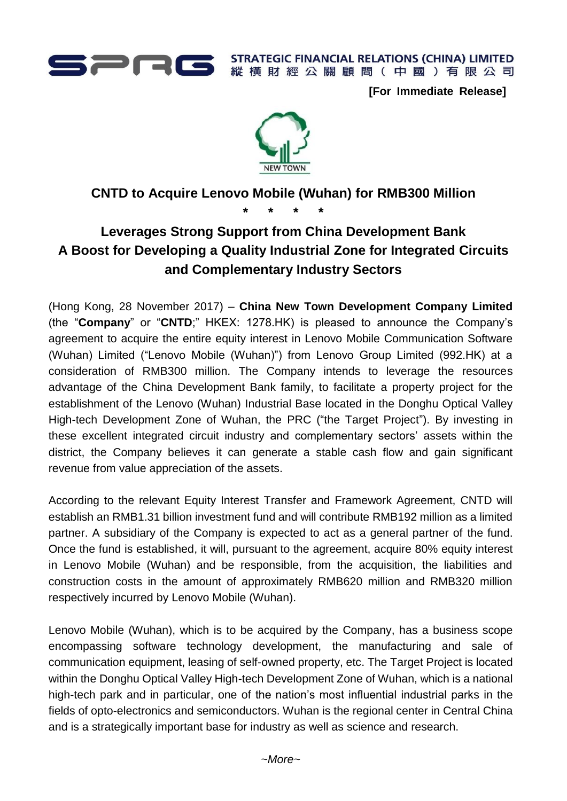

**STRATEGIC FINANCIAL RELATIONS (CHINA) LIMITED** 縱橫財經公關顧問(中國)有限公司

**[For Immediate Release]**



## **CNTD to Acquire Lenovo Mobile (Wuhan) for RMB300 Million**

**\* \* \* \***

# **Leverages Strong Support from China Development Bank A Boost for Developing a Quality Industrial Zone for Integrated Circuits and Complementary Industry Sectors**

(Hong Kong, 28 November 2017) – **China New Town Development Company Limited**  (the "**Company**" or "**CNTD**;" HKEX: 1278.HK) is pleased to announce the Company's agreement to acquire the entire equity interest in Lenovo Mobile Communication Software (Wuhan) Limited ("Lenovo Mobile (Wuhan)") from Lenovo Group Limited (992.HK) at a consideration of RMB300 million. The Company intends to leverage the resources advantage of the China Development Bank family, to facilitate a property project for the establishment of the Lenovo (Wuhan) Industrial Base located in the Donghu Optical Valley High-tech Development Zone of Wuhan, the PRC ("the Target Project"). By investing in these excellent integrated circuit industry and complementary sectors' assets within the district, the Company believes it can generate a stable cash flow and gain significant revenue from value appreciation of the assets.

According to the relevant Equity Interest Transfer and Framework Agreement, CNTD will establish an RMB1.31 billion investment fund and will contribute RMB192 million as a limited partner. A subsidiary of the Company is expected to act as a general partner of the fund. Once the fund is established, it will, pursuant to the agreement, acquire 80% equity interest in Lenovo Mobile (Wuhan) and be responsible, from the acquisition, the liabilities and construction costs in the amount of approximately RMB620 million and RMB320 million respectively incurred by Lenovo Mobile (Wuhan).

Lenovo Mobile (Wuhan), which is to be acquired by the Company, has a business scope encompassing software technology development, the manufacturing and sale of communication equipment, leasing of self-owned property, etc. The Target Project is located within the Donghu Optical Valley High-tech Development Zone of Wuhan, which is a national high-tech park and in particular, one of the nation's most influential industrial parks in the fields of opto-electronics and semiconductors. Wuhan is the regional center in Central China and is a strategically important base for industry as well as science and research.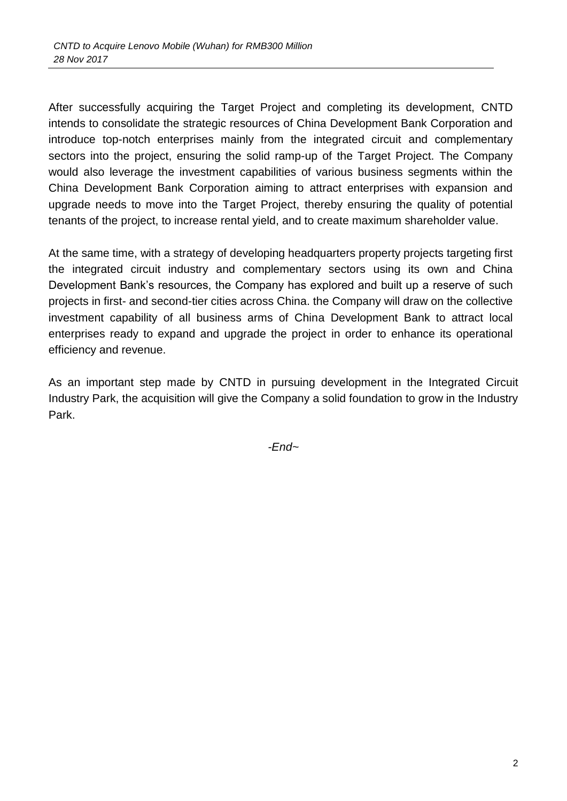After successfully acquiring the Target Project and completing its development, CNTD intends to consolidate the strategic resources of China Development Bank Corporation and introduce top-notch enterprises mainly from the integrated circuit and complementary sectors into the project, ensuring the solid ramp-up of the Target Project. The Company would also leverage the investment capabilities of various business segments within the China Development Bank Corporation aiming to attract enterprises with expansion and upgrade needs to move into the Target Project, thereby ensuring the quality of potential tenants of the project, to increase rental yield, and to create maximum shareholder value.

At the same time, with a strategy of developing headquarters property projects targeting first the integrated circuit industry and complementary sectors using its own and China Development Bank's resources, the Company has explored and built up a reserve of such projects in first- and second-tier cities across China. the Company will draw on the collective investment capability of all business arms of China Development Bank to attract local enterprises ready to expand and upgrade the project in order to enhance its operational efficiency and revenue.

As an important step made by CNTD in pursuing development in the Integrated Circuit Industry Park, the acquisition will give the Company a solid foundation to grow in the Industry Park.

*-End~*